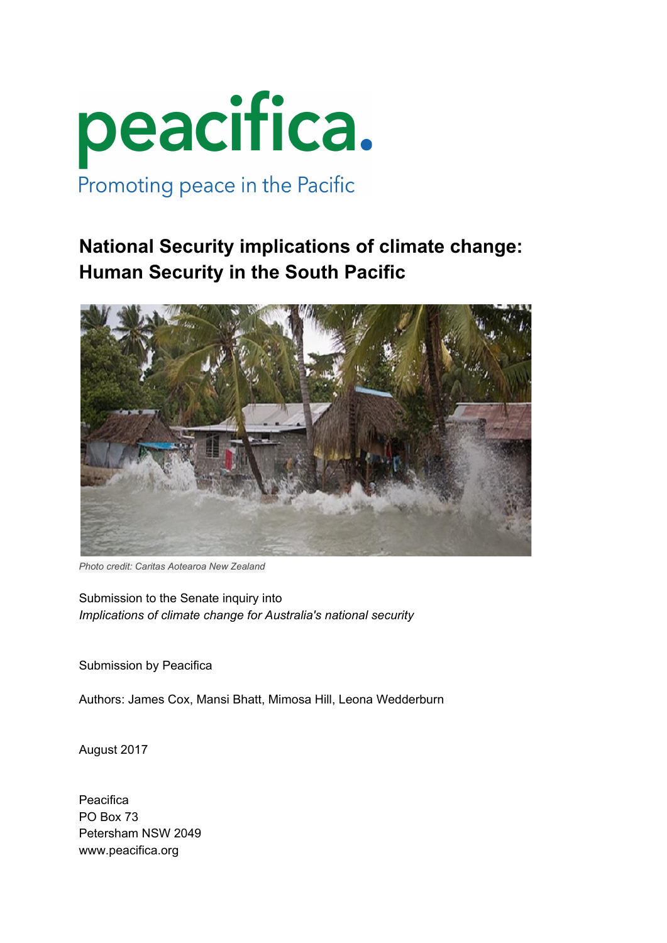

# **National Security implications of climate change: Human Security in the South Pacific**



*Photo credit: Caritas Aotearoa New Zealand*

Submission to the Senate inquiry into *Implications of climate change for Australia's national security*

Submission by Peacifica

Authors: James Cox, Mansi Bhatt, Mimosa Hill, Leona Wedderburn

August 2017

Peacifica PO Box 73 Petersham NSW 2049 www.peacifica.org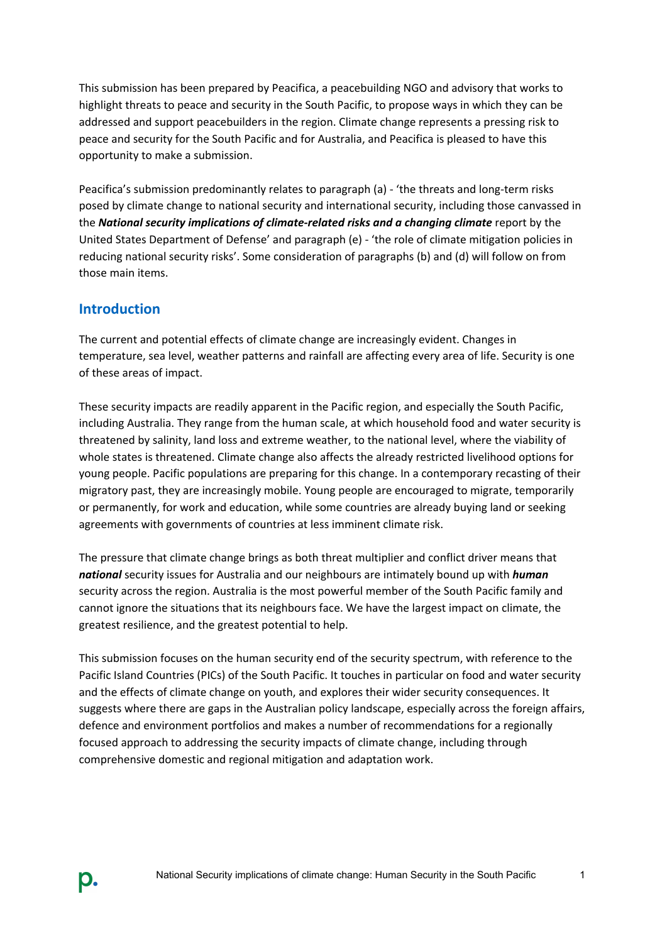This submission has been prepared by Peacifica, a peacebuilding NGO and advisory that works to highlight threats to peace and security in the South Pacific, to propose ways in which they can be addressed and support peacebuilders in the region. Climate change represents a pressing risk to peace and security for the South Pacific and for Australia, and Peacifica is pleased to have this opportunity to make a submission.

Peacifica's submission predominantly relates to paragraph (a) - 'the threats and long-term risks posed by climate change to national security and international security, including those canvassed in the *National security implications of climate-related risks and a changing climate* report by the United States Department of Defense' and paragraph (e) - 'the role of climate mitigation policies in reducing national security risks'. Some consideration of paragraphs (b) and (d) will follow on from those main items.

### **Introduction**

D.

The current and potential effects of climate change are increasingly evident. Changes in temperature, sea level, weather patterns and rainfall are affecting every area of life. Security is one of these areas of impact.

These security impacts are readily apparent in the Pacific region, and especially the South Pacific, including Australia. They range from the human scale, at which household food and water security is threatened by salinity, land loss and extreme weather, to the national level, where the viability of whole states is threatened. Climate change also affects the already restricted livelihood options for young people. Pacific populations are preparing for this change. In a contemporary recasting of their migratory past, they are increasingly mobile. Young people are encouraged to migrate, temporarily or permanently, for work and education, while some countries are already buying land or seeking agreements with governments of countries at less imminent climate risk.

The pressure that climate change brings as both threat multiplier and conflict driver means that *national* security issues for Australia and our neighbours are intimately bound up with *human* security across the region. Australia is the most powerful member of the South Pacific family and cannot ignore the situations that its neighbours face. We have the largest impact on climate, the greatest resilience, and the greatest potential to help.

This submission focuses on the human security end of the security spectrum, with reference to the Pacific Island Countries (PICs) of the South Pacific. It touches in particular on food and water security and the effects of climate change on youth, and explores their wider security consequences. It suggests where there are gaps in the Australian policy landscape, especially across the foreign affairs, defence and environment portfolios and makes a number of recommendations for a regionally focused approach to addressing the security impacts of climate change, including through comprehensive domestic and regional mitigation and adaptation work.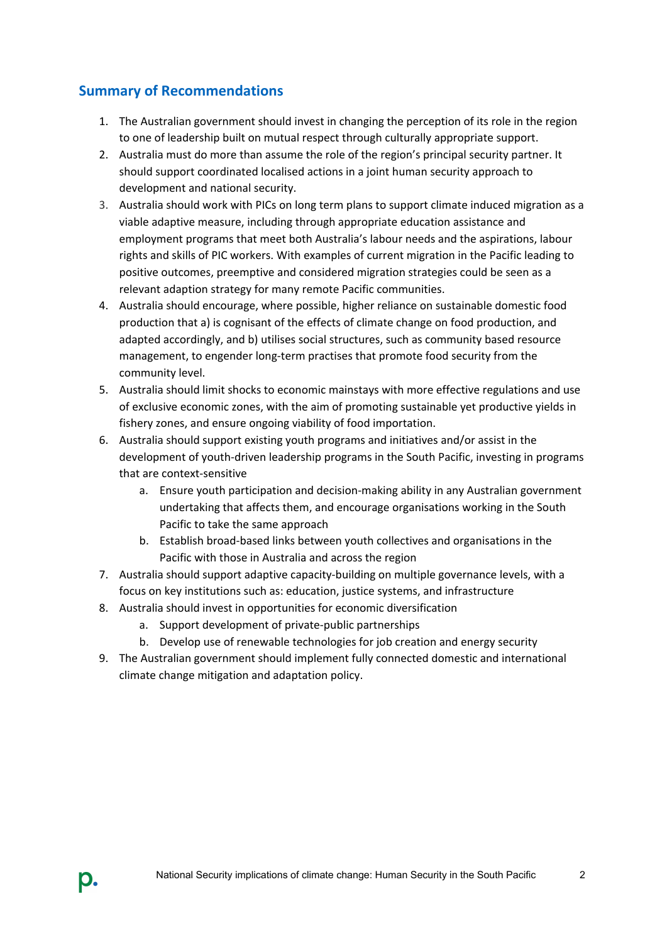### **Summary of Recommendations**

- 1. The Australian government should invest in changing the perception of its role in the region to one of leadership built on mutual respect through culturally appropriate support.
- 2. Australia must do more than assume the role of the region's principal security partner. It should support coordinated localised actions in a joint human security approach to development and national security.
- 3. Australia should work with PICs on long term plans to support climate induced migration as a viable adaptive measure, including through appropriate education assistance and employment programs that meet both Australia's labour needs and the aspirations, labour rights and skills of PIC workers. With examples of current migration in the Pacific leading to positive outcomes, preemptive and considered migration strategies could be seen as a relevant adaption strategy for many remote Pacific communities.
- 4. Australia should encourage, where possible, higher reliance on sustainable domestic food production that a) is cognisant of the effects of climate change on food production, and adapted accordingly, and b) utilises social structures, such as community based resource management, to engender long-term practises that promote food security from the community level.
- 5. Australia should limit shocks to economic mainstays with more effective regulations and use of exclusive economic zones, with the aim of promoting sustainable yet productive yields in fishery zones, and ensure ongoing viability of food importation.
- 6. Australia should support existing youth programs and initiatives and/or assist in the development of youth-driven leadership programs in the South Pacific, investing in programs that are context-sensitive
	- a. Ensure youth participation and decision-making ability in any Australian government undertaking that affects them, and encourage organisations working in the South Pacific to take the same approach
	- b. Establish broad-based links between youth collectives and organisations in the Pacific with those in Australia and across the region
- 7. Australia should support adaptive capacity-building on multiple governance levels, with a focus on key institutions such as: education, justice systems, and infrastructure
- 8. Australia should invest in opportunities for economic diversification
	- a. Support development of private-public partnerships

D.

- b. Develop use of renewable technologies for job creation and energy security
- 9. The Australian government should implement fully connected domestic and international climate change mitigation and adaptation policy.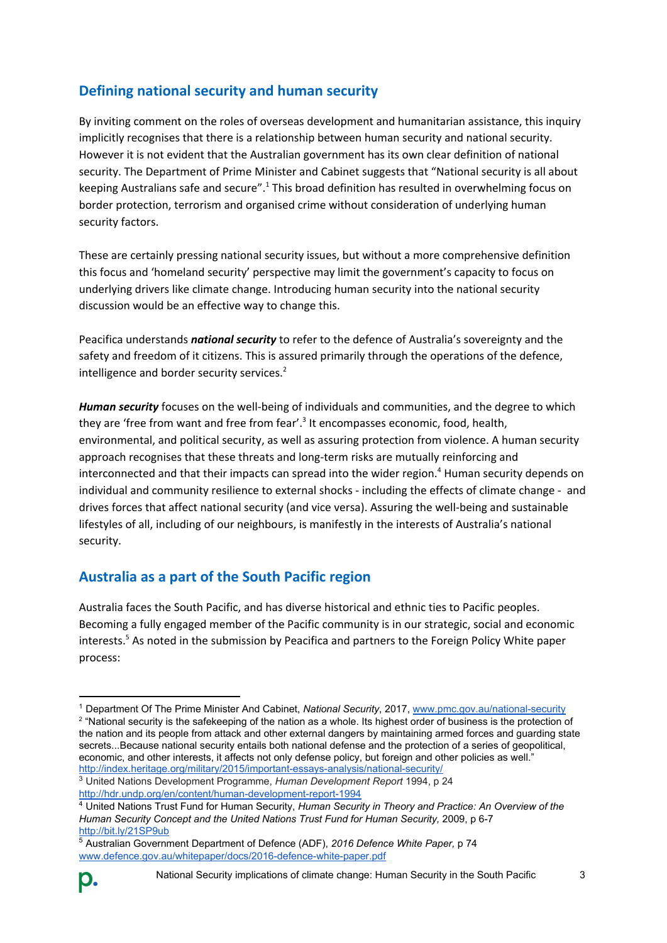## **Defining national security and human security**

By inviting comment on the roles of overseas development and humanitarian assistance, this inquiry implicitly recognises that there is a relationship between human security and national security. However it is not evident that the Australian government has its own clear definition of national security. The Department of Prime Minister and Cabinet suggests that "National security is all about keeping Australians safe and secure".<sup>1</sup> This broad definition has resulted in overwhelming focus on border protection, terrorism and organised crime without consideration of underlying human security factors.

These are certainly pressing national security issues, but without a more comprehensive definition this focus and 'homeland security' perspective may limit the government's capacity to focus on underlying drivers like climate change. Introducing human security into the national security discussion would be an effective way to change this.

Peacifica understands *national security* to refer to the defence of Australia's sovereignty and the safety and freedom of it citizens. This is assured primarily through the operations of the defence, intelligence and border security services.<sup>2</sup>

*Human security* focuses on the well-being of individuals and communities, and the degree to which they are 'free from want and free from fear'.<sup>3</sup> It encompasses economic, food, health, environmental, and political security, as well as assuring protection from violence. A human security approach recognises that these threats and long-term risks are mutually reinforcing and interconnected and that their impacts can spread into the wider region.<sup>4</sup> Human security depends on individual and community resilience to external shocks - including the effects of climate change - and drives forces that affect national security (and vice versa). Assuring the well-being and sustainable lifestyles of all, including of our neighbours, is manifestly in the interests of Australia's national security.

## **Australia as a part of the South Pacific region**

Australia faces the South Pacific, and has diverse historical and ethnic ties to Pacific peoples. Becoming a fully engaged member of the Pacific community is in our strategic, social and economic interests.<sup>5</sup> As noted in the submission by Peacifica and partners to the Foreign Policy White paper process:

<sup>5</sup> Australian Government Department of Defence (ADF), *2016 Defence White Paper,* p 74 [www.defence.gov.au/whitepaper/docs/2016-defence-white-paper.pdf](http://www.defence.gov.au/whitepaper/docs/2016-defence-white-paper.pdf)



<sup>1</sup> Department Of The Prime Minister And Cabinet, *National Security*, 2017, [www.pmc.gov.au/national-security](http://www.pmc.gov.au/national-security) <sup>2</sup> "National security is the safekeeping of the nation as a whole. Its highest order of business is the protection of the nation and its people from attack and other external dangers by maintaining armed forces and guarding state secrets...Because national security entails both national defense and the protection of a series of geopolitical, economic, and other interests, it affects not only defense policy, but foreign and other policies as well." <http://index.heritage.org/military/2015/important-essays-analysis/national-security/>

<sup>3</sup> United Nations Development Programme, *Human Development Report* 1994, p 24 <http://hdr.undp.org/en/content/human-development-report-1994>

<sup>4</sup> United Nations Trust Fund for Human Security, *Human Security in Theory and Practice: An Overview of the Human Security Concept and the United Nations Trust Fund for Human Security,* 2009, p 6-7 <http://bit.ly/21SP9ub>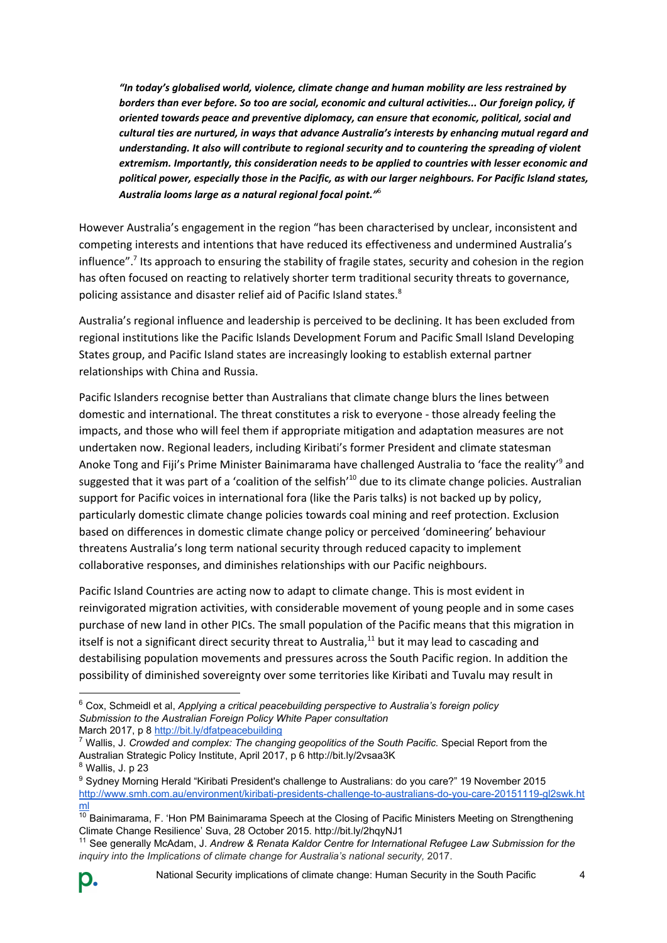*"In today's globalised world, violence, climate change and human mobility are less restrained by borders than ever before. So too are social, economic and cultural activities... Our foreign policy, if oriented towards peace and preventive diplomacy, can ensure that economic, political, social and cultural ties are nurtured, in ways that advance Australia's interests by enhancing mutual regard and understanding. It also will contribute to regional security and to countering the spreading of violent extremism. Importantly, this consideration needs to be applied to countries with lesser economic and political power, especially those in the Pacific, as with our larger neighbours. For Pacific Island states, Australia looms large as a natural regional focal point."* 6

However Australia's engagement in the region "has been characterised by unclear, inconsistent and competing interests and intentions that have reduced its effectiveness and undermined Australia's influence".<sup>7</sup> Its approach to ensuring the stability of fragile states, security and cohesion in the region has often focused on reacting to relatively shorter term traditional security threats to governance, policing assistance and disaster relief aid of Pacific Island states.<sup>8</sup>

Australia's regional influence and leadership is perceived to be declining. It has been excluded from regional institutions like the Pacific Islands Development Forum and Pacific Small Island Developing States group, and Pacific Island states are increasingly looking to establish external partner relationships with China and Russia.

Pacific Islanders recognise better than Australians that climate change blurs the lines between domestic and international. The threat constitutes a risk to everyone - those already feeling the impacts, and those who will feel them if appropriate mitigation and adaptation measures are not undertaken now. Regional leaders, including Kiribati's former President and climate statesman Anoke Tong and Fiji's Prime Minister Bainimarama have challenged Australia to 'face the reality'<sup>9</sup> and suggested that it was part of a 'coalition of the selfish'<sup>10</sup> due to its climate change policies. Australian support for Pacific voices in international fora (like the Paris talks) is not backed up by policy, particularly domestic climate change policies towards coal mining and reef protection. Exclusion based on differences in domestic climate change policy or perceived 'domineering' behaviour threatens Australia's long term national security through reduced capacity to implement collaborative responses, and diminishes relationships with our Pacific neighbours.

Pacific Island Countries are acting now to adapt to climate change. This is most evident in reinvigorated migration activities, with considerable movement of young people and in some cases purchase of new land in other PICs. The small population of the Pacific means that this migration in itself is not a significant direct security threat to Australia, $^{11}$  but it may lead to cascading and destabilising population movements and pressures across the South Pacific region. In addition the possibility of diminished sovereignty over some territories like Kiribati and Tuvalu may result in

<sup>6</sup> Cox, Schmeidl et al, *Applying a critical peacebuilding perspective to Australia's foreign policy Submission to the Australian Foreign Policy White Paper consultation* March 2017, p 8<http://bit.ly/dfatpeacebuilding>

<sup>7</sup> Wallis, J. *Crowded and complex: The changing geopolitics of the South Pacific.* Special Report from the Australian Strategic Policy Institute, April 2017, p 6 http://bit.ly/2vsaa3K

 $8$  Wallis, J. p 23

<sup>9</sup> Sydney Morning Herald "Kiribati President's challenge to Australians: do you care?" 19 November 2015 [http://www.smh.com.au/environment/kiribati-presidents-challenge-to-australians-do-you-care-20151119-gl2swk.ht](http://www.smh.com.au/environment/kiribati-presidents-challenge-to-australians-do-you-care-20151119-gl2swk.html) [ml](http://www.smh.com.au/environment/kiribati-presidents-challenge-to-australians-do-you-care-20151119-gl2swk.html)

 $10$  Bainimarama, F. 'Hon PM Bainimarama Speech at the Closing of Pacific Ministers Meeting on Strengthening Climate Change Resilience' Suva, 28 October 2015. http://bit.ly/2hqyNJ1

<sup>11</sup> See generally McAdam, J. *Andrew & Renata Kaldor Centre for International Refugee Law Submission for the* inquiry into the Implications of climate change for Australia's national security, 2017.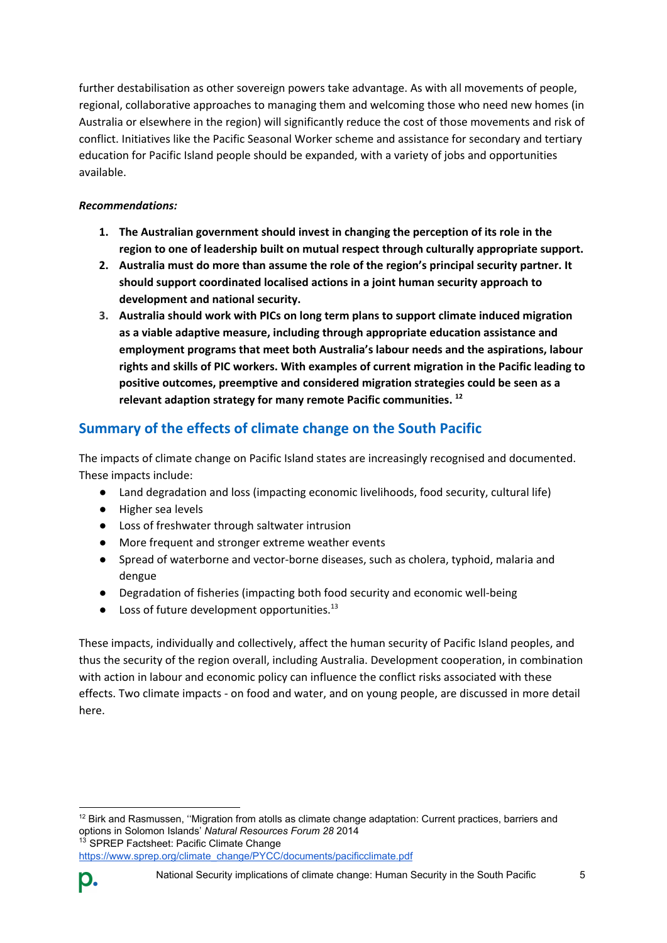further destabilisation as other sovereign powers take advantage. As with all movements of people, regional, collaborative approaches to managing them and welcoming those who need new homes (in Australia or elsewhere in the region) will significantly reduce the cost of those movements and risk of conflict. Initiatives like the Pacific Seasonal Worker scheme and assistance for secondary and tertiary education for Pacific Island people should be expanded, with a variety of jobs and opportunities available.

#### *Recommendations:*

- **1. The Australian government should invest in changing the perception of its role in the region to one of leadership built on mutual respect through culturally appropriate support.**
- **2. Australia must do more than assume the role of the region's principal security partner. It should support coordinated localised actions in a joint human security approach to development and national security.**
- **3. Australia should work with PICs on long term plans to support climate induced migration as a viable adaptive measure, including through appropriate education assistance and employment programs that meet both Australia's labour needs and the aspirations, labour rights and skills of PIC workers. With examples of current migration in the Pacific leading to positive outcomes, preemptive and considered migration strategies could be seen as a relevant adaption strategy for many remote Pacific communities. 12**

## **Summary of the effects of climate change on the South Pacific**

The impacts of climate change on Pacific Island states are increasingly recognised and documented. These impacts include:

- Land degradation and loss (impacting economic livelihoods, food security, cultural life)
- Higher sea levels
- Loss of freshwater through saltwater intrusion
- More frequent and stronger extreme weather events
- Spread of waterborne and vector-borne diseases, such as cholera, typhoid, malaria and dengue
- Degradation of fisheries (impacting both food security and economic well-being
- Loss of future development opportunities.<sup>13</sup>

These impacts, individually and collectively, affect the human security of Pacific Island peoples, and thus the security of the region overall, including Australia. Development cooperation, in combination with action in labour and economic policy can influence the conflict risks associated with these effects. Two climate impacts - on food and water, and on young people, are discussed in more detail here.

<sup>&</sup>lt;sup>12</sup> Birk and Rasmussen, "Migration from atolls as climate change adaptation: Current practices, barriers and options in Solomon Islands' *Natural Resources Forum 28* 2014 <sup>13</sup> SPREP Factsheet: Pacific Climate Change

[https://www.sprep.org/climate\\_change/PYCC/documents/pacificclimate.pdf](https://www.sprep.org/climate_change/PYCC/documents/pacificclimate.pdf)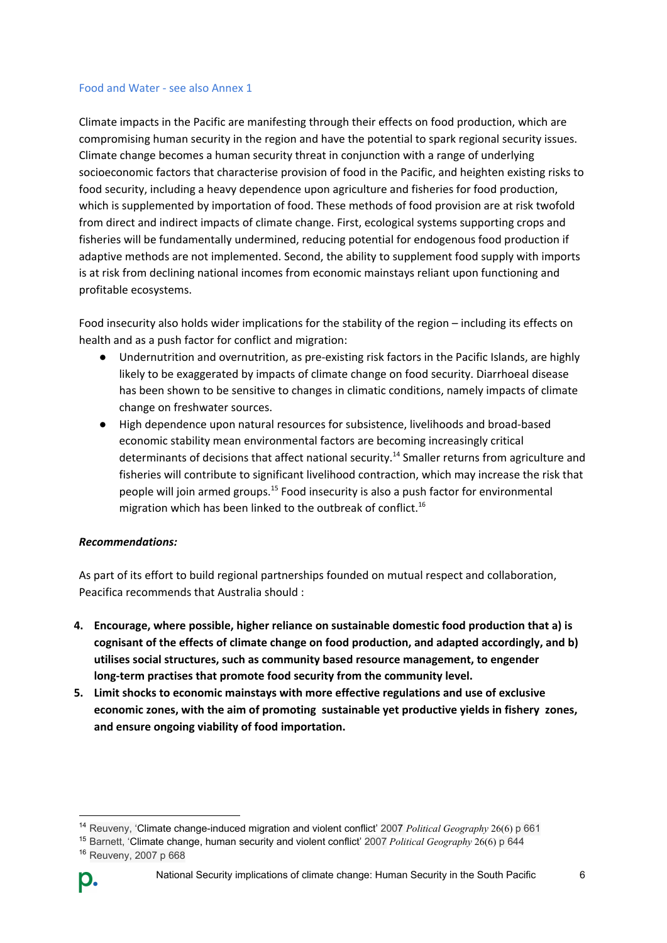#### Food and Water - see also Annex 1

Climate impacts in the Pacific are manifesting through their effects on food production, which are compromising human security in the region and have the potential to spark regional security issues. Climate change becomes a human security threat in conjunction with a range of underlying socioeconomic factors that characterise provision of food in the Pacific, and heighten existing risks to food security, including a heavy dependence upon agriculture and fisheries for food production, which is supplemented by importation of food. These methods of food provision are at risk twofold from direct and indirect impacts of climate change. First, ecological systems supporting crops and fisheries will be fundamentally undermined, reducing potential for endogenous food production if adaptive methods are not implemented. Second, the ability to supplement food supply with imports is at risk from declining national incomes from economic mainstays reliant upon functioning and profitable ecosystems.

Food insecurity also holds wider implications for the stability of the region – including its effects on health and as a push factor for conflict and migration:

- Undernutrition and overnutrition, as pre-existing risk factors in the Pacific Islands, are highly likely to be exaggerated by impacts of climate change on food security. Diarrhoeal disease has been shown to be sensitive to changes in climatic conditions, namely impacts of climate change on freshwater sources.
- High dependence upon natural resources for subsistence, livelihoods and broad-based economic stability mean environmental factors are becoming increasingly critical determinants of decisions that affect national security.<sup>14</sup> Smaller returns from agriculture and fisheries will contribute to significant livelihood contraction, which may increase the risk that people will join armed groups.<sup>15</sup> Food insecurity is also a push factor for environmental migration which has been linked to the outbreak of conflict. 16

#### *Recommendations:*

As part of its effort to build regional partnerships founded on mutual respect and collaboration, Peacifica recommends that Australia should :

- **4. Encourage, where possible, higher reliance on sustainable domestic food production that a) is cognisant of the effects of climate change on food production, and adapted accordingly, and b) utilises social structures, such as community based resource management, to engender long-term practises that promote food security from the community level.**
- **5. Limit shocks to economic mainstays with more effective regulations and use of exclusive economic zones, with the aim of promoting sustainable yet productive yields in fishery zones, and ensure ongoing viability of food importation.**

<sup>14</sup> Reuveny, 'Climate change-induced migration and violent conflict' 2007 *Political Geography* 26(6) p 661

<sup>15</sup> Barnett, 'Climate change, human security and violent conflict' 2007 *Political Geography* 26(6) p 644 <sup>16</sup> Reuveny, 2007 p 668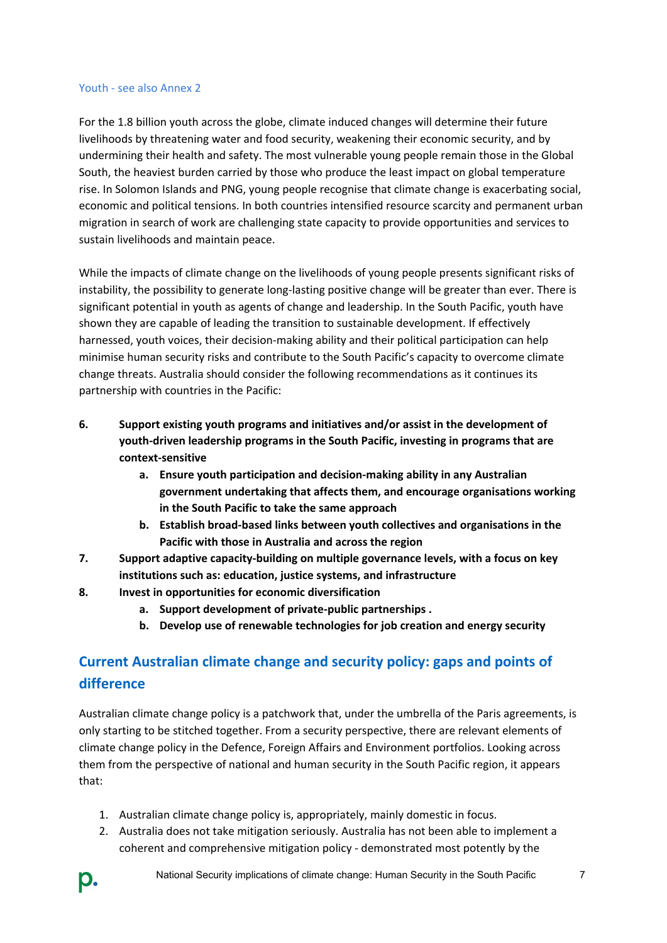#### Youth - see also Annex 2

For the 1.8 billion youth across the globe, climate induced changes will determine their future livelihoods by threatening water and food security, weakening their economic security, and by undermining their health and safety. The most vulnerable young people remain those in the Global South, the heaviest burden carried by those who produce the least impact on global temperature rise. In Solomon Islands and PNG, young people recognise that climate change is exacerbating social, economic and political tensions. In both countries intensified resource scarcity and permanent urban migration in search of work are challenging state capacity to provide opportunities and services to sustain livelihoods and maintain peace.

While the impacts of climate change on the livelihoods of young people presents significant risks of instability, the possibility to generate long-lasting positive change will be greater than ever. There is significant potential in youth as agents of change and leadership. In the South Pacific, youth have shown they are capable of leading the transition to sustainable development. If effectively harnessed, youth voices, their decision-making ability and their political participation can help minimise human security risks and contribute to the South Pacific's capacity to overcome climate change threats. Australia should consider the following recommendations as it continues its partnership with countries in the Pacific:

- **6. Support existing youth programs and initiatives and/or assist in the development of youth-driven leadership programs in the South Pacific, investing in programs that are context-sensitive**
	- **a. Ensure youth participation and decision-making ability in any Australian government undertaking that affects them, and encourage organisations working in the South Pacific to take the same approach**
	- **b. Establish broad-based links between youth collectives and organisations in the Pacific with those in Australia and across the region**
- **7. Support adaptive capacity-building on multiple governance levels, with a focus on key institutions such as: education, justice systems, and infrastructure**
- **8. Invest in opportunities for economic diversification**
	- **a. Support development of private-public partnerships .**
	- **b. Develop use of renewable technologies for job creation and energy security**

# **Current Australian climate change and security policy: gaps and points of difference**

Australian climate change policy is a patchwork that, under the umbrella of the Paris agreements, is only starting to be stitched together. From a security perspective, there are relevant elements of climate change policy in the Defence, Foreign Affairs and Environment portfolios. Looking across them from the perspective of national and human security in the South Pacific region, it appears that:

- 1. Australian climate change policy is, appropriately, mainly domestic in focus.
- 2. Australia does not take mitigation seriously. Australia has not been able to implement a coherent and comprehensive mitigation policy - demonstrated most potently by the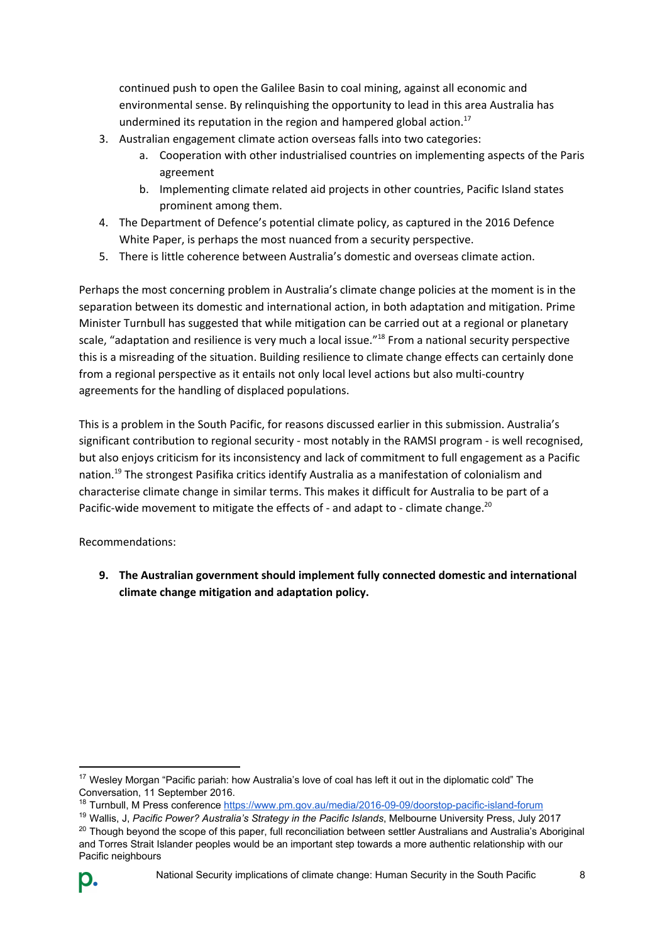continued push to open the Galilee Basin to coal mining, against all economic and environmental sense. By relinquishing the opportunity to lead in this area Australia has undermined its reputation in the region and hampered global action.<sup>17</sup>

- 3. Australian engagement climate action overseas falls into two categories:
	- a. Cooperation with other industrialised countries on implementing aspects of the Paris agreement
	- b. Implementing climate related aid projects in other countries, Pacific Island states prominent among them.
- 4. The Department of Defence's potential climate policy, as captured in the 2016 Defence White Paper, is perhaps the most nuanced from a security perspective.
- 5. There is little coherence between Australia's domestic and overseas climate action.

Perhaps the most concerning problem in Australia's climate change policies at the moment is in the separation between its domestic and international action, in both adaptation and mitigation. Prime Minister Turnbull has suggested that while mitigation can be carried out at a regional or planetary scale, "adaptation and resilience is very much a local issue."<sup>18</sup> From a national security perspective this is a misreading of the situation. Building resilience to climate change effects can certainly done from a regional perspective as it entails not only local level actions but also multi-country agreements for the handling of displaced populations.

This is a problem in the South Pacific, for reasons discussed earlier in this submission. Australia's significant contribution to regional security - most notably in the RAMSI program - is well recognised, but also enjoys criticism for its inconsistency and lack of commitment to full engagement as a Pacific nation.<sup>19</sup> The strongest Pasifika critics identify Australia as a manifestation of colonialism and characterise climate change in similar terms. This makes it difficult for Australia to be part of a Pacific-wide movement to mitigate the effects of - and adapt to - climate change.<sup>20</sup>

Recommendations:

**9. The Australian government should implement fully connected domestic and international climate change mitigation and adaptation policy.**

 $20$  Though beyond the scope of this paper, full reconciliation between settler Australians and Australia's Aboriginal and Torres Strait Islander peoples would be an important step towards a more authentic relationship with our Pacific neighbours



<sup>&</sup>lt;sup>17</sup> Wesley Morgan ["Pacific pariah: how Australia's love of coal has left it out in the diplomatic cold](http://theconversation.com/pacific-pariah-how-australias-love-of-coal-has-left-it-out-in-the-diplomatic-cold-64963)" The Conversation, 11 September 2016.

<sup>18</sup> Turnbull, M Press conference<https://www.pm.gov.au/media/2016-09-09/doorstop-pacific-island-forum>

<sup>19</sup> Wallis, J, *Pacific Power? Australia's Strategy in the Pacific Islands*, Melbourne University Press, July 2017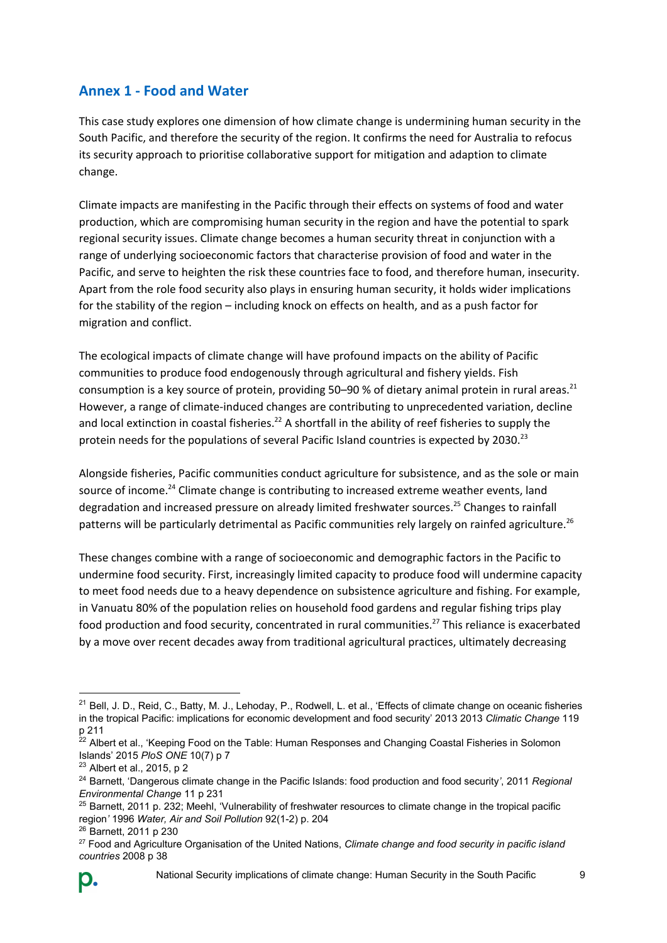### **Annex 1 - Food and Water**

This case study explores one dimension of how climate change is undermining human security in the South Pacific, and therefore the security of the region. It confirms the need for Australia to refocus its security approach to prioritise collaborative support for mitigation and adaption to climate change.

Climate impacts are manifesting in the Pacific through their effects on systems of food and water production, which are compromising human security in the region and have the potential to spark regional security issues. Climate change becomes a human security threat in conjunction with a range of underlying socioeconomic factors that characterise provision of food and water in the Pacific, and serve to heighten the risk these countries face to food, and therefore human, insecurity. Apart from the role food security also plays in ensuring human security, it holds wider implications for the stability of the region – including knock on effects on health, and as a push factor for migration and conflict.

The ecological impacts of climate change will have profound impacts on the ability of Pacific communities to produce food endogenously through agricultural and fishery yields. Fish consumption is a key source of protein, providing 50–90 % of dietary animal protein in rural areas.<sup>21</sup> However, a range of climate-induced changes are contributing to unprecedented variation, decline and local extinction in coastal fisheries.<sup>22</sup> A shortfall in the ability of reef fisheries to supply the protein needs for the populations of several Pacific Island countries is expected by 2030.<sup>23</sup>

Alongside fisheries, Pacific communities conduct agriculture for subsistence, and as the sole or main source of income.<sup>24</sup> Climate change is contributing to increased extreme weather events, land degradation and increased pressure on already limited freshwater sources.<sup>25</sup> Changes to rainfall patterns will be particularly detrimental as Pacific communities rely largely on rainfed agriculture.<sup>26</sup>

These changes combine with a range of socioeconomic and demographic factors in the Pacific to undermine food security. First, increasingly limited capacity to produce food will undermine capacity to meet food needs due to a heavy dependence on subsistence agriculture and fishing. For example, in Vanuatu 80% of the population relies on household food gardens and regular fishing trips play food production and food security, concentrated in rural communities.<sup>27</sup> This reliance is exacerbated by a move over recent decades away from traditional agricultural practices, ultimately decreasing

 $21$  Bell, J. D., Reid, C., Batty, M. J., Lehoday, P., Rodwell, L. et al., 'Effects of climate change on oceanic fisheries in the tropical Pacific: implications for economic development and food security' 2013 2013 *Climatic Change* 119 p 211

<sup>&</sup>lt;sup>22</sup> Albert et al., 'Keeping Food on the Table: Human Responses and Changing Coastal Fisheries in Solomon Islands' 2015 *PloS ONE* 10(7) p 7

<sup>23</sup> Albert et al., 2015, p 2

<sup>24</sup> Barnett, 'Dangerous climate change in the Pacific Islands: food production and food security*'*, 2011 *Regional Environmental Change* 11 p 231

<sup>&</sup>lt;sup>25</sup> Barnett, 2011 p. 232; Meehl, 'Vulnerability of freshwater resources to climate change in the tropical pacific region*'* 1996 *Water, Air and Soil Pollution* 92(1-2) p. 204

<sup>26</sup> Barnett, 2011 p 230

<sup>27</sup> Food and Agriculture Organisation of the United Nations, *Climate change and food security in pacific island countries* 2008 p 38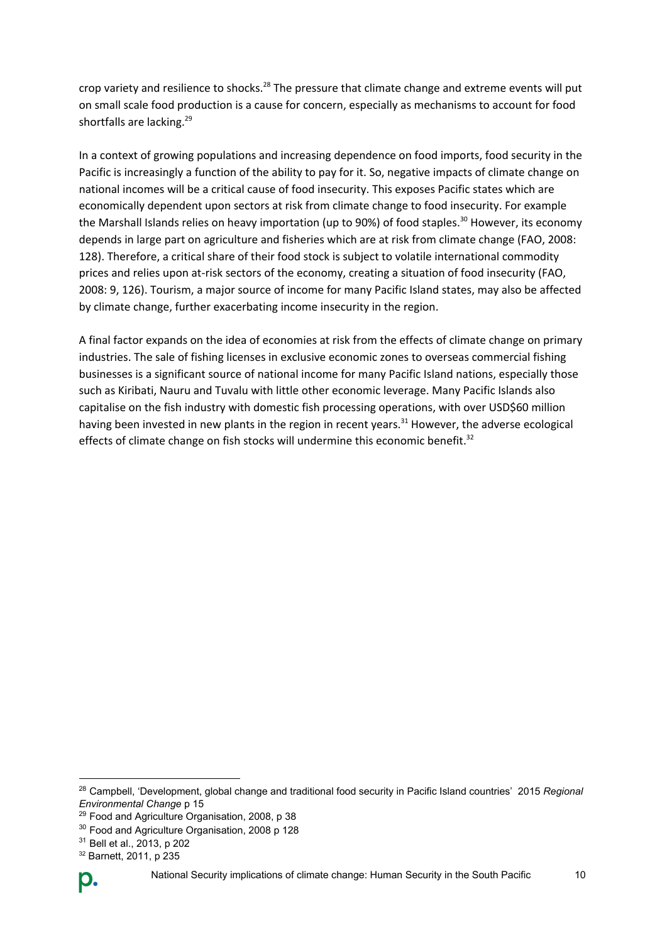crop variety and resilience to shocks.<sup>28</sup> The pressure that climate change and extreme events will put on small scale food production is a cause for concern, especially as mechanisms to account for food shortfalls are lacking.<sup>29</sup>

In a context of growing populations and increasing dependence on food imports, food security in the Pacific is increasingly a function of the ability to pay for it. So, negative impacts of climate change on national incomes will be a critical cause of food insecurity. This exposes Pacific states which are economically dependent upon sectors at risk from climate change to food insecurity. For example the Marshall Islands relies on heavy importation (up to 90%) of food staples.<sup>30</sup> However, its economy depends in large part on agriculture and fisheries which are at risk from climate change (FAO, 2008: 128). Therefore, a critical share of their food stock is subject to volatile international commodity prices and relies upon at-risk sectors of the economy, creating a situation of food insecurity (FAO, 2008: 9, 126). Tourism, a major source of income for many Pacific Island states, may also be affected by climate change, further exacerbating income insecurity in the region.

A final factor expands on the idea of economies at risk from the effects of climate change on primary industries. The sale of fishing licenses in exclusive economic zones to overseas commercial fishing businesses is a significant source of national income for many Pacific Island nations, especially those such as Kiribati, Nauru and Tuvalu with little other economic leverage. Many Pacific Islands also capitalise on the fish industry with domestic fish processing operations, with over USD\$60 million having been invested in new plants in the region in recent years.<sup>31</sup> However, the adverse ecological effects of climate change on fish stocks will undermine this economic benefit.<sup>32</sup>

<sup>32</sup> Barnett, 2011, p 235



<sup>28</sup> Campbell, 'Development, global change and traditional food security in Pacific Island countries' 2015 *Regional Environmental Change* p 15

<sup>29</sup> Food and Agriculture Organisation, 2008, p 38

<sup>30</sup> Food and Agriculture Organisation, 2008 p 128

<sup>31</sup> Bell et al., 2013, p 202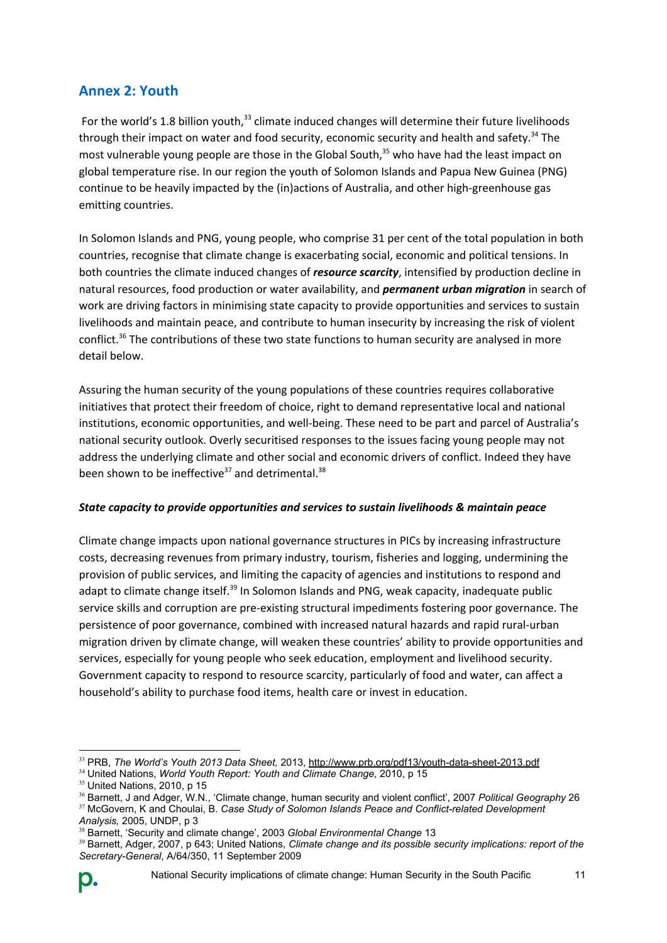### **Annex 2: Youth**

For the world's 1.8 billion youth, $33$  climate induced changes will determine their future livelihoods through their impact on water and food security, economic security and health and safety.<sup>34</sup> The most vulnerable young people are those in the Global South,<sup>35</sup> who have had the least impact on global temperature rise. In our region the youth of Solomon Islands and Papua New Guinea (PNG) continue to be heavily impacted by the (in)actions of Australia, and other high-greenhouse gas emitting countries.

In Solomon Islands and PNG, young people, who comprise 31 per cent of the total population in both countries, recognise that climate change is exacerbating social, economic and political tensions. In both countries the climate induced changes of *resource scarcity*, intensified by production decline in natural resources, food production or water availability, and *permanent urban migration* in search of work are driving factors in minimising state capacity to provide opportunities and services to sustain livelihoods and maintain peace, and contribute to human insecurity by increasing the risk of violent conflict.<sup>36</sup> The contributions of these two state functions to human security are analysed in more detail below.

Assuring the human security of the young populations of these countries requires collaborative initiatives that protect their freedom of choice, right to demand representative local and national institutions, economic opportunities, and well-being. These need to be part and parcel of Australia's national security outlook. Overly securitised responses to the issues facing young people may not address the underlying climate and other social and economic drivers of conflict. Indeed they have been shown to be ineffective<sup>37</sup> and detrimental.<sup>38</sup>

#### *State capacity to provide opportunities and services to sustain livelihoods & maintain peace*

Climate change impacts upon national governance structures in PICs by increasing infrastructure costs, decreasing revenues from primary industry, tourism, fisheries and logging, undermining the provision of public services, and limiting the capacity of agencies and institutions to respond and adapt to climate change itself.<sup>39</sup> In Solomon Islands and PNG, weak capacity, inadequate public service skills and corruption are pre-existing structural impediments fostering poor governance. The persistence of poor governance, combined with increased natural hazards and rapid rural-urban migration driven by climate change, will weaken these countries' ability to provide opportunities and services, especially for young people who seek education, employment and livelihood security. Government capacity to respond to resource scarcity, particularly of food and water, can affect a household's ability to purchase food items, health care or invest in education.

<sup>33</sup> PRB, *The World's Youth 2013 Data Sheet,* 2013,<http://www.prb.org/pdf13/youth-data-sheet-2013.pdf>

<sup>34</sup> United Nations, *World Youth Report: Youth and Climate Change,* 2010, p 15

 $35$  United Nations, 2010, p 15

<sup>36</sup> Barnett, J and Adger, W.N., 'Climate change, human security and violent conflict', 2007 *Political Geography* 26

<sup>&</sup>lt;sup>37</sup> McGovern, K and Choulai, B. Case Study of Solomon Islands Peace and Conflict-related Development *Analysis,* 2005, UNDP, p 3

<sup>&</sup>lt;sup>38</sup> Barnett, 'Security and climate change', 2003 Global Environmental Change 13

<sup>39</sup> Barnett, Adger, 2007, p 643; United Nations, *Climate change and its possible security implications: report of the Secretary-General*, A/64/350, 11 September 2009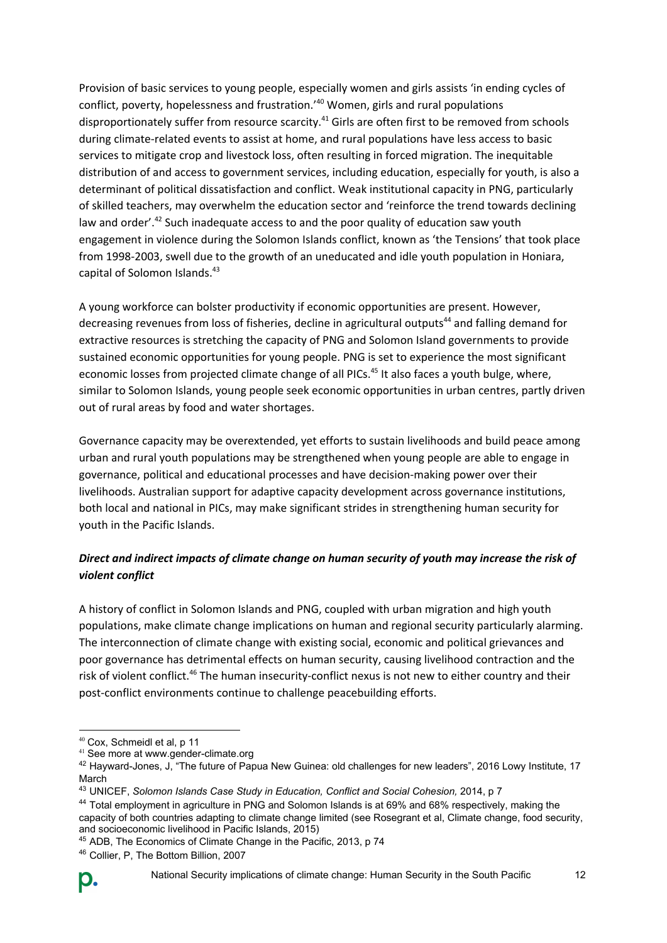Provision of basic services to young people, especially women and girls assists 'in ending cycles of conflict, poverty, hopelessness and frustration.'<sup>40</sup> Women, girls and rural populations disproportionately suffer from resource scarcity. $^{41}$  Girls are often first to be removed from schools during climate-related events to assist at home, and rural populations have less access to basic services to mitigate crop and livestock loss, often resulting in forced migration. The inequitable distribution of and access to government services, including education, especially for youth, is also a determinant of political dissatisfaction and conflict. Weak institutional capacity in PNG, particularly of skilled teachers, may overwhelm the education sector and 'reinforce the trend towards declining law and order'.<sup>42</sup> Such inadequate access to and the poor quality of education saw youth engagement in violence during the Solomon Islands conflict, known as 'the Tensions' that took place from 1998-2003, swell due to the growth of an uneducated and idle youth population in Honiara, capital of Solomon Islands. 43

A young workforce can bolster productivity if economic opportunities are present. However, decreasing revenues from loss of fisheries, decline in agricultural outputs<sup>44</sup> and falling demand for extractive resources is stretching the capacity of PNG and Solomon Island governments to provide sustained economic opportunities for young people. PNG is set to experience the most significant economic losses from projected climate change of all PICs.<sup>45</sup> It also faces a youth bulge, where, similar to Solomon Islands, young people seek economic opportunities in urban centres, partly driven out of rural areas by food and water shortages.

Governance capacity may be overextended, yet efforts to sustain livelihoods and build peace among urban and rural youth populations may be strengthened when young people are able to engage in governance, political and educational processes and have decision-making power over their livelihoods. Australian support for adaptive capacity development across governance institutions, both local and national in PICs, may make significant strides in strengthening human security for youth in the Pacific Islands.

### *Direct and indirect impacts of climate change on human security of youth may increase the risk of violent conflict*

A history of conflict in Solomon Islands and PNG, coupled with urban migration and high youth populations, make climate change implications on human and regional security particularly alarming. The interconnection of climate change with existing social, economic and political grievances and poor governance has detrimental effects on human security, causing livelihood contraction and the risk of violent conflict.<sup>46</sup> The human insecurity-conflict nexus is not new to either country and their post-conflict environments continue to challenge peacebuilding efforts.

<sup>40</sup> Cox, Schmeidl et al, p 11

<sup>41</sup> See more a[t www.gender-climate.org](http://www.gender-climate.org/)

<sup>42</sup> Hayward-Jones, J, "The future of Papua New Guinea: old challenges for new leaders", 2016 Lowy Institute, 17 March

<sup>43</sup> UNICEF, *Solomon Islands Case Study in Education, Conflict and Social Cohesion,* 2014, p 7

<sup>44</sup> Total employment in agriculture in PNG and Solomon Islands is at 69% and 68% respectively, making the capacity of both countries adapting to climate change limited (see Rosegrant et al, Climate change, food security, and socioeconomic livelihood in Pacific Islands, 2015)

<sup>45</sup> ADB, The Economics of Climate Change in the Pacific, 2013, p 74

<sup>46</sup> Collier, P, The Bottom Billion, 2007